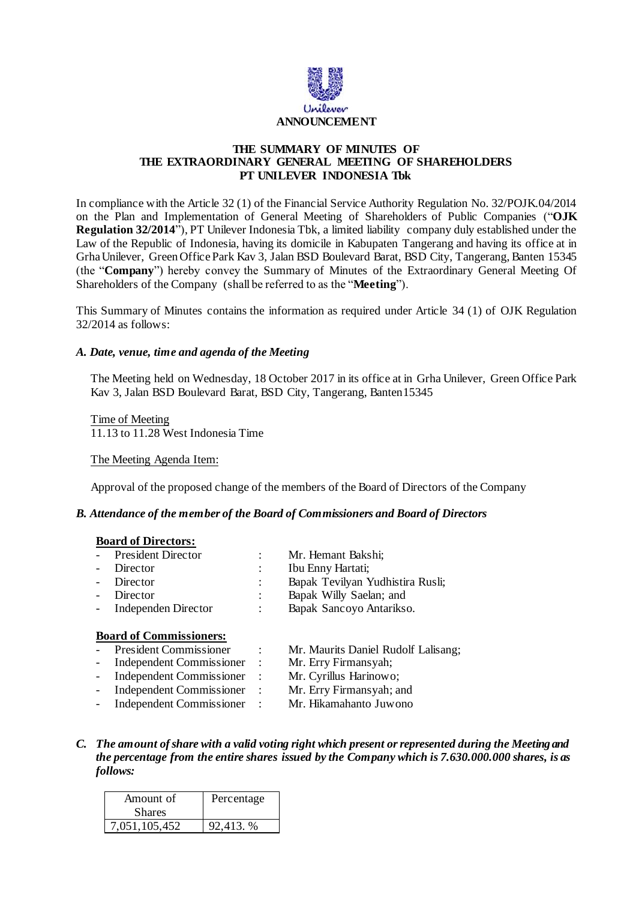

## **THE SUMMARY OF MINUTES OF THE EXTRAORDINARY GENERAL MEETING OF SHAREHOLDERS PT UNILEVER INDONESIA Tbk**

In compliance with the Article 32 (1) of the Financial Service Authority Regulation No. 32/POJK.04/2014 on the Plan and Implementation of General Meeting of Shareholders of Public Companies ("**OJK Regulation 32/2014**"), PT Unilever Indonesia Tbk, a limited liability company duly established under the Law of the Republic of Indonesia, having its domicile in Kabupaten Tangerang and having its office at in Grha Unilever, Green Office Park Kav 3, Jalan BSD Boulevard Barat, BSD City, Tangerang, Banten 15345 (the "**Company**") hereby convey the Summary of Minutes of the Extraordinary General Meeting Of Shareholders of the Company (shall be referred to as the "**Meeting**").

This Summary of Minutes contains the information as required under Article 34 (1) of OJK Regulation 32/2014 as follows:

## *A. Date, venue, time and agenda of the Meeting*

The Meeting held on Wednesday, 18 October 2017 in its office at in Grha Unilever, Green Office Park Kav 3, Jalan BSD Boulevard Barat, BSD City, Tangerang, Banten15345

Time of Meeting 11.13 to 11.28 West Indonesia Time

#### The Meeting Agenda Item:

Approval of the proposed change of the members of the Board of Directors of the Company

#### *B. Attendance of the member of the Board of Commissioners and Board of Directors*

### **Board of Directors:**

| - President Director  |         | Mr. Hemant Bakshi;               |
|-----------------------|---------|----------------------------------|
| - Director            |         | Ibu Enny Hartati;                |
| - Director            |         | Bapak Tevilyan Yudhistira Rusli; |
| - Director            | $\cdot$ | Bapak Willy Saelan; and          |
| - Independen Director | ٠       | Bapak Sancoyo Antarikso.         |

#### **Board of Commissioners:**

- President Commissioner : Mr. Maurits Daniel Rudolf Lalisang;
- Independent Commissioner : Mr. Erry Firmansyah;
	-
- Independent Commissioner : Mr. Cyrillus Harinowo;
- Independent Commissioner : Mr. Erry Firmansyah; and
- Independent Commissioner : Mr. Hikamahanto Juwono
- 
- *C. The amount of share with a valid voting right which present or represented during the Meeting and the percentage from the entire shares issued by the Company which is 7.630.000.000 shares, is as follows:*

| Amount of     | Percentage |  |
|---------------|------------|--|
| <b>Shares</b> |            |  |
| 7,051,105,452 | 92,413. %  |  |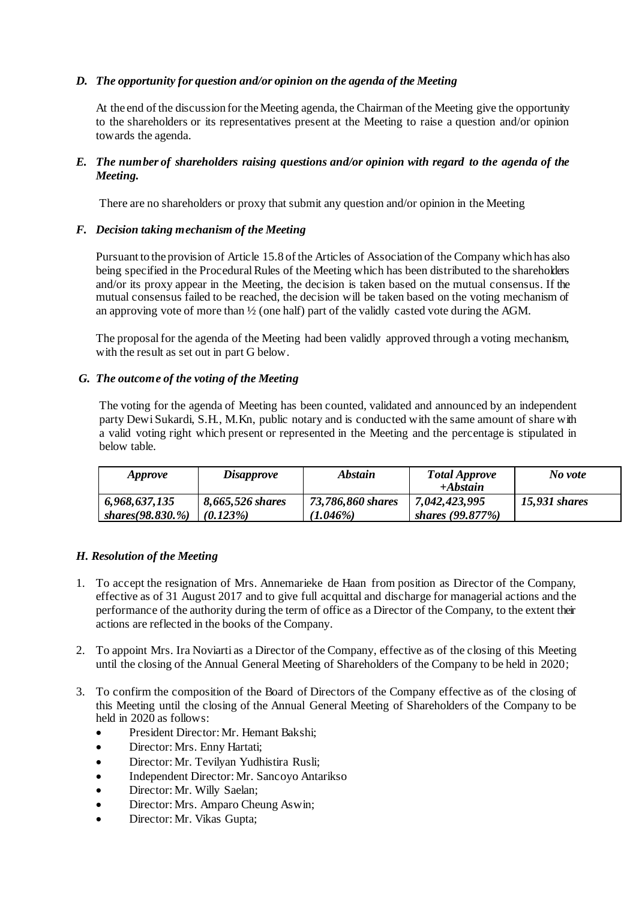# *D. The opportunity for question and/or opinion on the agenda of the Meeting*

At the end of the discussion for theMeeting agenda, the Chairman of the Meeting give the opportunity to the shareholders or its representatives present at the Meeting to raise a question and/or opinion towards the agenda.

# *E. The number of shareholders raising questions and/or opinion with regard to the agenda of the Meeting.*

There are no shareholders or proxy that submit any question and/or opinion in the Meeting

## *F. Decision taking mechanism of the Meeting*

Pursuant to the provision of Article 15.8 of the Articles of Association of the Company which has also being specified in the Procedural Rules of the Meeting which has been distributed to the shareholders and/or its proxy appear in the Meeting, the decision is taken based on the mutual consensus. If the mutual consensus failed to be reached, the decision will be taken based on the voting mechanism of an approving vote of more than ½ (one half) part of the validly casted vote during the AGM.

The proposal for the agenda of the Meeting had been validly approved through a voting mechanism, with the result as set out in part G below.

## *G. The outcome of the voting of the Meeting*

The voting for the agenda of Meeting has been counted, validated and announced by an independent party Dewi Sukardi, S.H., M.Kn, public notary and is conducted with the same amount of share with a valid voting right which present or represented in the Meeting and the percentage is stipulated in below table.

| <i>Approve</i>       | <i>Disapprove</i> | Abstain           | <b>Total Approve</b> | No vote       |
|----------------------|-------------------|-------------------|----------------------|---------------|
|                      |                   |                   | $+Abstain$           |               |
| 6,968,637,135        | 8,665,526 shares  | 73,786,860 shares | 7,042,423,995        | 15,931 shares |
| shares $(98.830, %)$ | $(0.123\%)$       | $(1.046\%)$       | shares $(99.877%)$   |               |

# *H. Resolution of the Meeting*

- 1. To accept the resignation of Mrs. Annemarieke de Haan from position as Director of the Company, effective as of 31 August 2017 and to give full acquittal and discharge for managerial actions and the performance of the authority during the term of office as a Director of the Company, to the extent their actions are reflected in the books of the Company.
- 2. To appoint Mrs. Ira Noviarti as a Director of the Company, effective as of the closing of this Meeting until the closing of the Annual General Meeting of Shareholders of the Company to be held in 2020;
- 3. To confirm the composition of the Board of Directors of the Company effective as of the closing of this Meeting until the closing of the Annual General Meeting of Shareholders of the Company to be held in 2020 as follows:
	- President Director: Mr. Hemant Bakshi:
	- Director: Mrs. Enny Hartati;
	- Director: Mr. Tevilyan Yudhistira Rusli;
	- Independent Director: Mr. Sancoyo Antarikso
	- Director: Mr. Willy Saelan;
	- Director: Mrs. Amparo Cheung Aswin;
	- Director: Mr. Vikas Gupta;